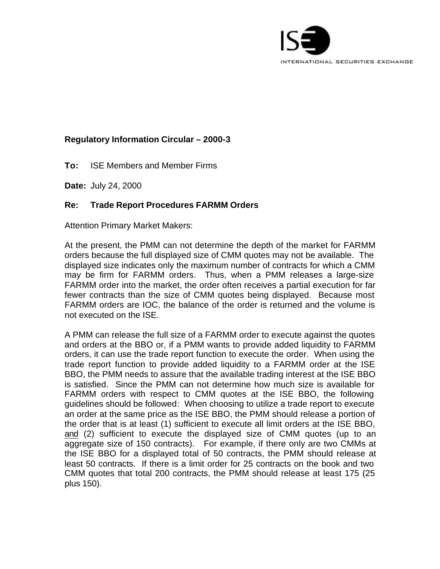

## **Regulatory Information Circular – 2000-3**

**To:** ISE Members and Member Firms

**Date:** July 24, 2000

## **Re: Trade Report Procedures FARMM Orders**

Attention Primary Market Makers:

At the present, the PMM can not determine the depth of the market for FARMM orders because the full displayed size of CMM quotes may not be available. The displayed size indicates only the maximum number of contracts for which a CMM may be firm for FARMM orders. Thus, when a PMM releases a large-size FARMM order into the market, the order often receives a partial execution for far fewer contracts than the size of CMM quotes being displayed. Because most FARMM orders are IOC, the balance of the order is returned and the volume is not executed on the ISE.

A PMM can release the full size of a FARMM order to execute against the quotes and orders at the BBO or, if a PMM wants to provide added liquidity to FARMM orders, it can use the trade report function to execute the order. When using the trade report function to provide added liquidity to a FARMM order at the ISE BBO, the PMM needs to assure that the available trading interest at the ISE BBO is satisfied. Since the PMM can not determine how much size is available for FARMM orders with respect to CMM quotes at the ISE BBO, the following guidelines should be followed: When choosing to utilize a trade report to execute an order at the same price as the ISE BBO, the PMM should release a portion of the order that is at least (1) sufficient to execute all limit orders at the ISE BBO, and (2) sufficient to execute the displayed size of CMM quotes (up to an aggregate size of 150 contracts). For example, if there only are two CMMs at the ISE BBO for a displayed total of 50 contracts, the PMM should release at least 50 contracts. If there is a limit order for 25 contracts on the book and two CMM quotes that total 200 contracts, the PMM should release at least 175 (25 plus 150).